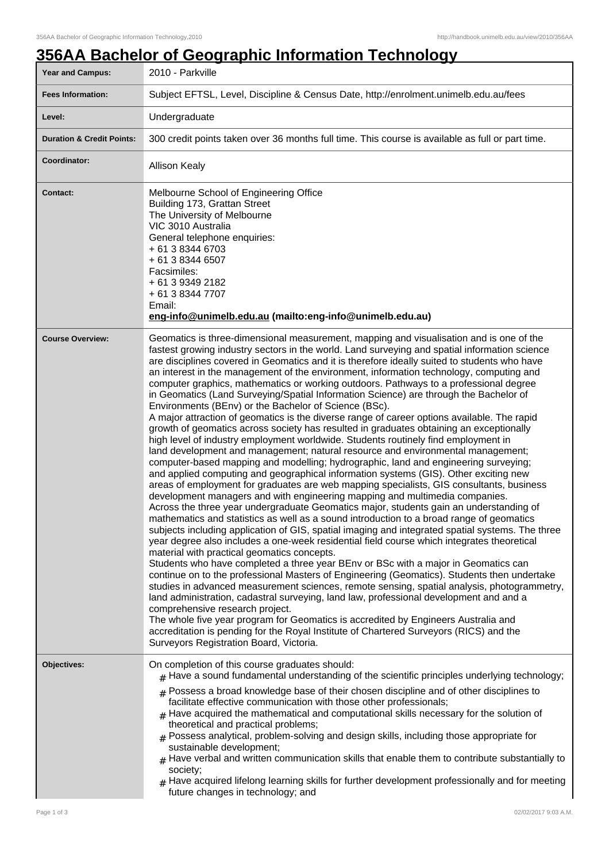## **356AA Bachelor of Geographic Information Technology**

| <b>Year and Campus:</b>              | 2010 - Parkville                                                                                                                                                                                                                                                                                                                                                                                                                                                                                                                                                                                                                                                                                                                                                                                                                                                                                                                                                                                                                                                                                                                                                                                                                                                                                                                                                                                                                                                                                                                                                                                                                                                                                                                                                                                                                                                                                                                                                                                                                                                                                                                                                                                                                                                                                                                                                                                                                               |  |  |
|--------------------------------------|------------------------------------------------------------------------------------------------------------------------------------------------------------------------------------------------------------------------------------------------------------------------------------------------------------------------------------------------------------------------------------------------------------------------------------------------------------------------------------------------------------------------------------------------------------------------------------------------------------------------------------------------------------------------------------------------------------------------------------------------------------------------------------------------------------------------------------------------------------------------------------------------------------------------------------------------------------------------------------------------------------------------------------------------------------------------------------------------------------------------------------------------------------------------------------------------------------------------------------------------------------------------------------------------------------------------------------------------------------------------------------------------------------------------------------------------------------------------------------------------------------------------------------------------------------------------------------------------------------------------------------------------------------------------------------------------------------------------------------------------------------------------------------------------------------------------------------------------------------------------------------------------------------------------------------------------------------------------------------------------------------------------------------------------------------------------------------------------------------------------------------------------------------------------------------------------------------------------------------------------------------------------------------------------------------------------------------------------------------------------------------------------------------------------------------------------|--|--|
| <b>Fees Information:</b>             | Subject EFTSL, Level, Discipline & Census Date, http://enrolment.unimelb.edu.au/fees                                                                                                                                                                                                                                                                                                                                                                                                                                                                                                                                                                                                                                                                                                                                                                                                                                                                                                                                                                                                                                                                                                                                                                                                                                                                                                                                                                                                                                                                                                                                                                                                                                                                                                                                                                                                                                                                                                                                                                                                                                                                                                                                                                                                                                                                                                                                                           |  |  |
| Level:                               | Undergraduate                                                                                                                                                                                                                                                                                                                                                                                                                                                                                                                                                                                                                                                                                                                                                                                                                                                                                                                                                                                                                                                                                                                                                                                                                                                                                                                                                                                                                                                                                                                                                                                                                                                                                                                                                                                                                                                                                                                                                                                                                                                                                                                                                                                                                                                                                                                                                                                                                                  |  |  |
| <b>Duration &amp; Credit Points:</b> | 300 credit points taken over 36 months full time. This course is available as full or part time.                                                                                                                                                                                                                                                                                                                                                                                                                                                                                                                                                                                                                                                                                                                                                                                                                                                                                                                                                                                                                                                                                                                                                                                                                                                                                                                                                                                                                                                                                                                                                                                                                                                                                                                                                                                                                                                                                                                                                                                                                                                                                                                                                                                                                                                                                                                                               |  |  |
| Coordinator:                         | <b>Allison Kealy</b>                                                                                                                                                                                                                                                                                                                                                                                                                                                                                                                                                                                                                                                                                                                                                                                                                                                                                                                                                                                                                                                                                                                                                                                                                                                                                                                                                                                                                                                                                                                                                                                                                                                                                                                                                                                                                                                                                                                                                                                                                                                                                                                                                                                                                                                                                                                                                                                                                           |  |  |
| <b>Contact:</b>                      | Melbourne School of Engineering Office<br>Building 173, Grattan Street<br>The University of Melbourne<br>VIC 3010 Australia<br>General telephone enquiries:<br>+ 61 3 8344 6703<br>+ 61 3 8344 6507<br>Facsimiles:<br>+ 61 3 9349 2182<br>+ 61 3 8344 7707<br>Email:<br>eng-info@unimelb.edu.au (mailto:eng-info@unimelb.edu.au)                                                                                                                                                                                                                                                                                                                                                                                                                                                                                                                                                                                                                                                                                                                                                                                                                                                                                                                                                                                                                                                                                                                                                                                                                                                                                                                                                                                                                                                                                                                                                                                                                                                                                                                                                                                                                                                                                                                                                                                                                                                                                                               |  |  |
| <b>Course Overview:</b>              | Geomatics is three-dimensional measurement, mapping and visualisation and is one of the<br>fastest growing industry sectors in the world. Land surveying and spatial information science<br>are disciplines covered in Geomatics and it is therefore ideally suited to students who have<br>an interest in the management of the environment, information technology, computing and<br>computer graphics, mathematics or working outdoors. Pathways to a professional degree<br>in Geomatics (Land Surveying/Spatial Information Science) are through the Bachelor of<br>Environments (BEnv) or the Bachelor of Science (BSc).<br>A major attraction of geomatics is the diverse range of career options available. The rapid<br>growth of geomatics across society has resulted in graduates obtaining an exceptionally<br>high level of industry employment worldwide. Students routinely find employment in<br>land development and management; natural resource and environmental management;<br>computer-based mapping and modelling; hydrographic, land and engineering surveying;<br>and applied computing and geographical information systems (GIS). Other exciting new<br>areas of employment for graduates are web mapping specialists, GIS consultants, business<br>development managers and with engineering mapping and multimedia companies.<br>Across the three year undergraduate Geomatics major, students gain an understanding of<br>mathematics and statistics as well as a sound introduction to a broad range of geomatics<br>subjects including application of GIS, spatial imaging and integrated spatial systems. The three<br>year degree also includes a one-week residential field course which integrates theoretical<br>material with practical geomatics concepts.<br>Students who have completed a three year BEnv or BSc with a major in Geomatics can<br>continue on to the professional Masters of Engineering (Geomatics). Students then undertake<br>studies in advanced measurement sciences, remote sensing, spatial analysis, photogrammetry,<br>land administration, cadastral surveying, land law, professional development and and a<br>comprehensive research project.<br>The whole five year program for Geomatics is accredited by Engineers Australia and<br>accreditation is pending for the Royal Institute of Chartered Surveyors (RICS) and the<br>Surveyors Registration Board, Victoria. |  |  |
| Objectives:                          | On completion of this course graduates should:<br>$#$ Have a sound fundamental understanding of the scientific principles underlying technology;<br>$#$ Possess a broad knowledge base of their chosen discipline and of other disciplines to<br>facilitate effective communication with those other professionals;<br>$#$ Have acquired the mathematical and computational skills necessary for the solution of<br>theoretical and practical problems;<br>$#$ Possess analytical, problem-solving and design skills, including those appropriate for<br>sustainable development;<br>$#$ Have verbal and written communication skills that enable them to contribute substantially to<br>society;<br>$_{\#}$ Have acquired lifelong learning skills for further development professionally and for meeting<br>future changes in technology; and                                                                                                                                                                                                                                                                                                                                                                                                                                                                                                                                                                                                                                                                                                                                                                                                                                                                                                                                                                                                                                                                                                                                                                                                                                                                                                                                                                                                                                                                                                                                                                                                |  |  |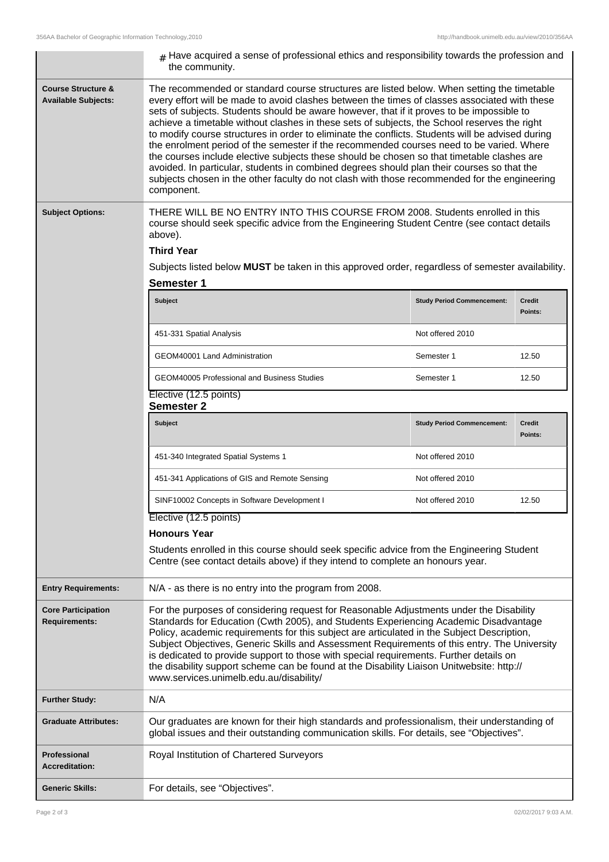|                                                             | $#$ Have acquired a sense of professional ethics and responsibility towards the profession and<br>the community.                                                                                                                                                                                                                                                                                                                                                                                                                                                                                                                                                                                                                                                                                                                                                                                   |                                   |                          |  |  |
|-------------------------------------------------------------|----------------------------------------------------------------------------------------------------------------------------------------------------------------------------------------------------------------------------------------------------------------------------------------------------------------------------------------------------------------------------------------------------------------------------------------------------------------------------------------------------------------------------------------------------------------------------------------------------------------------------------------------------------------------------------------------------------------------------------------------------------------------------------------------------------------------------------------------------------------------------------------------------|-----------------------------------|--------------------------|--|--|
| <b>Course Structure &amp;</b><br><b>Available Subjects:</b> | The recommended or standard course structures are listed below. When setting the timetable<br>every effort will be made to avoid clashes between the times of classes associated with these<br>sets of subjects. Students should be aware however, that if it proves to be impossible to<br>achieve a timetable without clashes in these sets of subjects, the School reserves the right<br>to modify course structures in order to eliminate the conflicts. Students will be advised during<br>the enrolment period of the semester if the recommended courses need to be varied. Where<br>the courses include elective subjects these should be chosen so that timetable clashes are<br>avoided. In particular, students in combined degrees should plan their courses so that the<br>subjects chosen in the other faculty do not clash with those recommended for the engineering<br>component. |                                   |                          |  |  |
| <b>Subject Options:</b>                                     | THERE WILL BE NO ENTRY INTO THIS COURSE FROM 2008. Students enrolled in this<br>course should seek specific advice from the Engineering Student Centre (see contact details<br>above).<br><b>Third Year</b><br>Subjects listed below MUST be taken in this approved order, regardless of semester availability.<br><b>Semester 1</b>                                                                                                                                                                                                                                                                                                                                                                                                                                                                                                                                                               |                                   |                          |  |  |
|                                                             | Subject                                                                                                                                                                                                                                                                                                                                                                                                                                                                                                                                                                                                                                                                                                                                                                                                                                                                                            | <b>Study Period Commencement:</b> | <b>Credit</b>            |  |  |
|                                                             |                                                                                                                                                                                                                                                                                                                                                                                                                                                                                                                                                                                                                                                                                                                                                                                                                                                                                                    |                                   | Points:                  |  |  |
|                                                             | 451-331 Spatial Analysis                                                                                                                                                                                                                                                                                                                                                                                                                                                                                                                                                                                                                                                                                                                                                                                                                                                                           | Not offered 2010                  |                          |  |  |
|                                                             | GEOM40001 Land Administration                                                                                                                                                                                                                                                                                                                                                                                                                                                                                                                                                                                                                                                                                                                                                                                                                                                                      | Semester 1                        | 12.50                    |  |  |
|                                                             | GEOM40005 Professional and Business Studies                                                                                                                                                                                                                                                                                                                                                                                                                                                                                                                                                                                                                                                                                                                                                                                                                                                        | Semester 1                        | 12.50                    |  |  |
|                                                             | Elective (12.5 points)<br><b>Semester 2</b>                                                                                                                                                                                                                                                                                                                                                                                                                                                                                                                                                                                                                                                                                                                                                                                                                                                        |                                   |                          |  |  |
|                                                             | Subject                                                                                                                                                                                                                                                                                                                                                                                                                                                                                                                                                                                                                                                                                                                                                                                                                                                                                            | <b>Study Period Commencement:</b> | <b>Credit</b><br>Points: |  |  |
|                                                             | 451-340 Integrated Spatial Systems 1                                                                                                                                                                                                                                                                                                                                                                                                                                                                                                                                                                                                                                                                                                                                                                                                                                                               | Not offered 2010                  |                          |  |  |
|                                                             | 451-341 Applications of GIS and Remote Sensing                                                                                                                                                                                                                                                                                                                                                                                                                                                                                                                                                                                                                                                                                                                                                                                                                                                     | Not offered 2010                  |                          |  |  |
|                                                             | SINF10002 Concepts in Software Development I                                                                                                                                                                                                                                                                                                                                                                                                                                                                                                                                                                                                                                                                                                                                                                                                                                                       | Not offered 2010                  | 12.50                    |  |  |
|                                                             | Elective (12.5 points)                                                                                                                                                                                                                                                                                                                                                                                                                                                                                                                                                                                                                                                                                                                                                                                                                                                                             |                                   |                          |  |  |
|                                                             | <b>Honours Year</b>                                                                                                                                                                                                                                                                                                                                                                                                                                                                                                                                                                                                                                                                                                                                                                                                                                                                                |                                   |                          |  |  |
|                                                             | Students enrolled in this course should seek specific advice from the Engineering Student<br>Centre (see contact details above) if they intend to complete an honours year.                                                                                                                                                                                                                                                                                                                                                                                                                                                                                                                                                                                                                                                                                                                        |                                   |                          |  |  |
| <b>Entry Requirements:</b>                                  | N/A - as there is no entry into the program from 2008.                                                                                                                                                                                                                                                                                                                                                                                                                                                                                                                                                                                                                                                                                                                                                                                                                                             |                                   |                          |  |  |
| <b>Core Participation</b><br><b>Requirements:</b>           | For the purposes of considering request for Reasonable Adjustments under the Disability<br>Standards for Education (Cwth 2005), and Students Experiencing Academic Disadvantage<br>Policy, academic requirements for this subject are articulated in the Subject Description,<br>Subject Objectives, Generic Skills and Assessment Requirements of this entry. The University<br>is dedicated to provide support to those with special requirements. Further details on<br>the disability support scheme can be found at the Disability Liaison Unitwebsite: http://<br>www.services.unimelb.edu.au/disability/                                                                                                                                                                                                                                                                                    |                                   |                          |  |  |
| <b>Further Study:</b>                                       | N/A                                                                                                                                                                                                                                                                                                                                                                                                                                                                                                                                                                                                                                                                                                                                                                                                                                                                                                |                                   |                          |  |  |
| <b>Graduate Attributes:</b>                                 | Our graduates are known for their high standards and professionalism, their understanding of<br>global issues and their outstanding communication skills. For details, see "Objectives".                                                                                                                                                                                                                                                                                                                                                                                                                                                                                                                                                                                                                                                                                                           |                                   |                          |  |  |
| <b>Professional</b><br><b>Accreditation:</b>                | Royal Institution of Chartered Surveyors                                                                                                                                                                                                                                                                                                                                                                                                                                                                                                                                                                                                                                                                                                                                                                                                                                                           |                                   |                          |  |  |
| <b>Generic Skills:</b>                                      | For details, see "Objectives".                                                                                                                                                                                                                                                                                                                                                                                                                                                                                                                                                                                                                                                                                                                                                                                                                                                                     |                                   |                          |  |  |